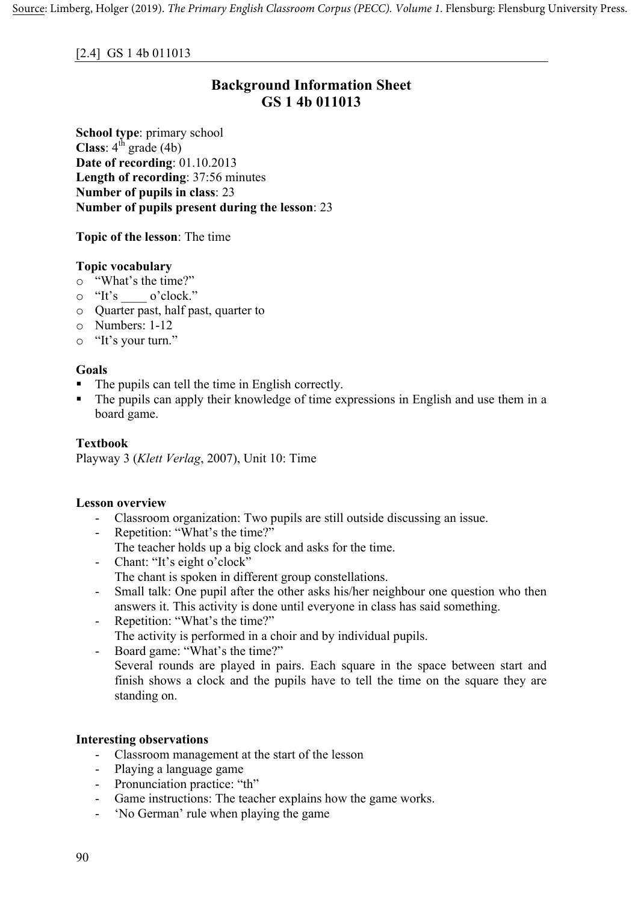## [2.4] GS 1 4b 011013

# **Background Information Sheet GS 1 4b 011013**

**School type**: primary school **Class**:  $4^{\text{th}}$  grade (4b) **Date of recording**: 01.10.2013 **Length of recording**: 37:56 minutes **Number of pupils in class**: 23 **Number of pupils present during the lesson**: 23

**Topic of the lesson**: The time

#### **Topic vocabulary**

- o "What's the time?"
- o "It's \_\_\_\_ o'clock."
- o Quarter past, half past, quarter to
- o Numbers: 1-12
- o "It's your turn."

## **Goals**

- The pupils can tell the time in English correctly.
- The pupils can apply their knowledge of time expressions in English and use them in a board game.

## **Textbook**

Playway 3 (*Klett Verlag*, 2007), Unit 10: Time

#### **Lesson overview**

- Classroom organization: Two pupils are still outside discussing an issue.
- Repetition: "What's the time?"
	- The teacher holds up a big clock and asks for the time.
- Chant: "It's eight o'clock" The chant is spoken in different group constellations.
- Small talk: One pupil after the other asks his/her neighbour one question who then answers it. This activity is done until everyone in class has said something.
- Repetition: "What's the time?" The activity is performed in a choir and by individual pupils.
- Board game: "What's the time?"

Several rounds are played in pairs. Each square in the space between start and finish shows a clock and the pupils have to tell the time on the square they are standing on.

#### **Interesting observations**

- Classroom management at the start of the lesson
- Playing a language game
- Pronunciation practice: "th"
- Game instructions: The teacher explains how the game works.
- 'No German' rule when playing the game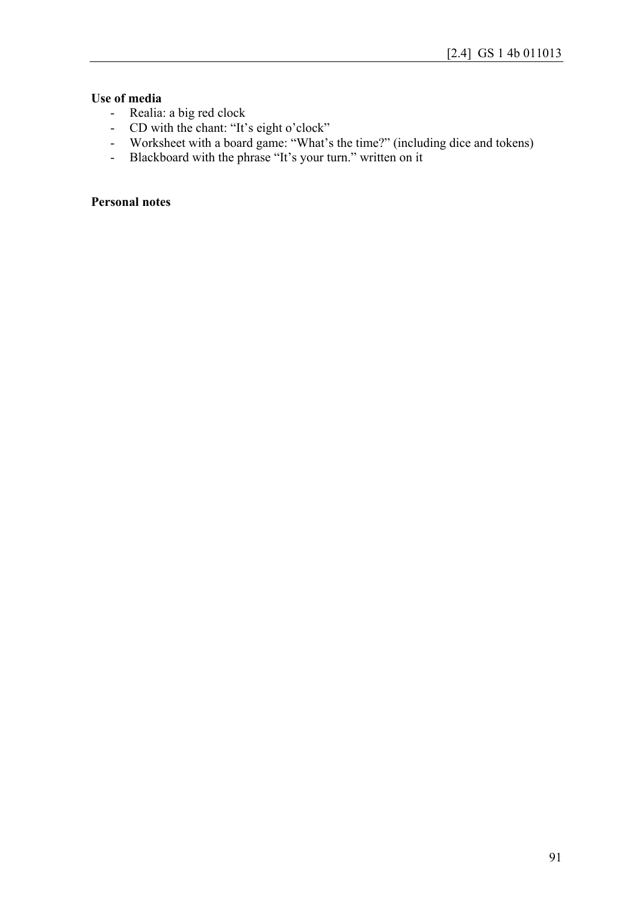## **Use of media**

- Realia: a big red clock
- CD with the chant: "It's eight o'clock"
- Worksheet with a board game: "What's the time?" (including dice and tokens)
- Blackboard with the phrase "It's your turn." written on it

## **Personal notes**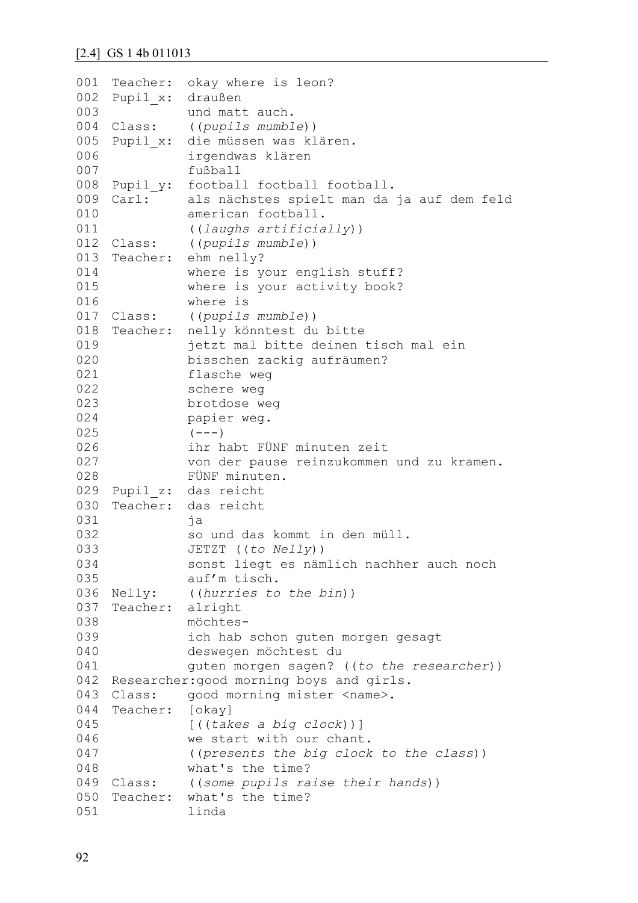#### [2.4] GS 1 4b 011013

```
001
Teacher: okay where is leon?
002
Pupil_x: draußen
003
004 Class:
005 Pupil x:
006
007
008 Pupil_y:
009 Carl:
010
011
012 Class:
013 Teacher:
014
015
016
017 Class:
018 Teacher:
019
020
021
022
023
024
025
026
027
028
029
Pupil_z: das reicht
030 Teacher:
031
032
033
034
035
036 Nelly:
037
Teacher: alright
038
039
040
041
042
Researcher:good morning boys and girls.
043 Class:
044
Teacher: [okay]
045
046
047
048
049 Class:
050
Teacher: what's the time?
051
               und matt auch.
               Class: ((pupils mumble))
               die müssen was klären.
               irgendwas klären
               fußball
               football football football.
               als nächstes spielt man da ja auf dem feld
               american football.
               ((laughs artificially)) 
               Class: ((pupils mumble))
               ehm nelly?
               where is your english stuff?
               where is your activity book?
               where is
               Class: ((pupils mumble))
              nelly könntest du bitte
               jetzt mal bitte deinen tisch mal ein 
               bisschen zackig aufräumen?
               flasche weg 
               schere weg 
              brotdose weg 
              papier weg. 
               (---)ihr habt FÜNF minuten zeit
               von der pause reinzukommen und zu kramen.
               FÜNF minuten.
              das reicht
               ja
               so und das kommt in den müll.
               JETZT ((to Nelly))
               sonst liegt es nämlich nachher auch noch 
               auf'm tisch.
              ((hurries to the bin))
               möchtes-
               ich hab schon guten morgen gesagt 
               deswegen möchtest du 
               guten morgen sagen? ((to the researcher))
             qood morning mister <name>.
               [((takes a big clock))]
               we start with our chant. 
               ((presents the big clock to the class))
               what's the time?
              ((some pupils raise their hands))
               linda
```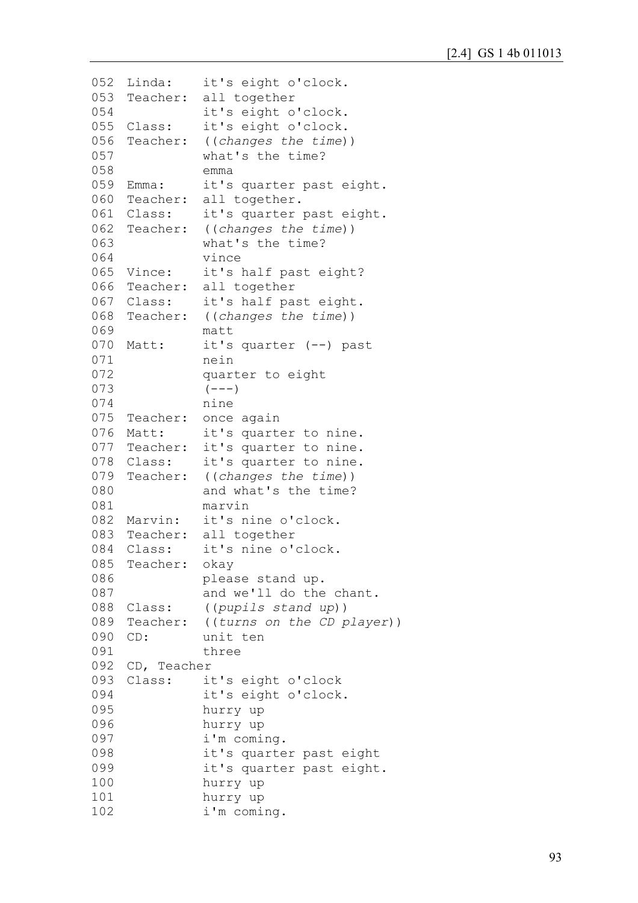```
052 Linda:
053
Teacher: all together
054
055 Class:
056
Teacher: ((changes the time))
057
058
059 Emma:
060
Teacher: all together.
061 Class:
062
Teacher: ((changes the time))
063
064
065 Vince:
066
Teacher: all together
067 Class:
068
Teacher: ((changes the time))
069
070 Matt:
071
072
073
074
075
Teacher: once again
076 Matt:
077
Teacher: it's quarter to nine.
078 Class:
079
Teacher: ((changes the time))
080
081
082
Marvin: it's nine o'clock.
083
Teacher: all together
084 Class:
085
Teacher: okay
086
087
088
Class: ((pupils stand up))
089
Teacher: ((turns on the CD player))
090 CD:
091
092
CD, Teacher
093 Class:
094
095
096
097
098
099
100
101
102
              it's eight o'clock.
              it's eight o'clock.
              it's eight o'clock.
              what's the time?
              emma
              it's quarter past eight.
              it's quarter past eight.
              what's the time?
              vince
              it's half past eight?
              it's half past eight.
              matt
              it's quarter (--) past
              nein
              quarter to eight
              (---)nine
              it's quarter to nine.
              it's quarter to nine.
              and what's the time?
              marvin
              it's nine o'clock.
              please stand up.
              and we'll do the chant.
              unit ten
              three
              it's eight o'clock
              it's eight o'clock.
              hurry up 
              hurry up
              i'm coming.
              it's quarter past eight
              it's quarter past eight.
              hurry up 
              hurry up
              i'm coming.
```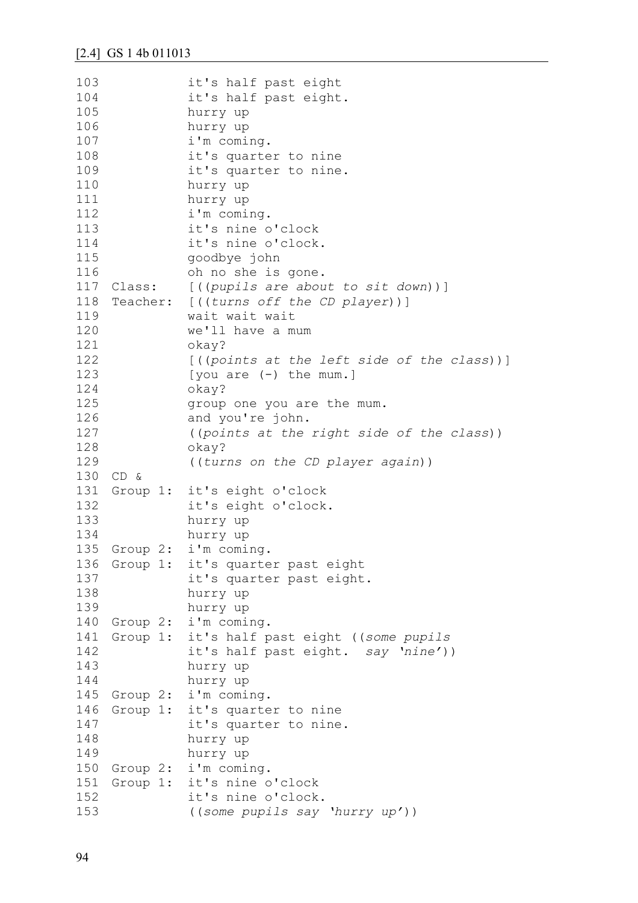| 103 |          | it's half past eight                        |
|-----|----------|---------------------------------------------|
| 104 |          | it's half past eight.                       |
| 105 |          | hurry up                                    |
| 106 |          | hurry up                                    |
| 107 |          | i'm coming.                                 |
| 108 |          | it's quarter to nine                        |
| 109 |          | it's quarter to nine.                       |
| 110 |          | hurry up                                    |
| 111 |          | hurry up                                    |
| 112 |          | i'm coming.                                 |
| 113 |          | it's nine o'clock                           |
| 114 |          | it's nine o'clock.                          |
| 115 |          | goodbye john                                |
| 116 |          | oh no she is gone.                          |
| 117 |          | Class: [((pupils are about to sit down))]   |
| 118 |          | Teacher: [((turns off the CD player))]      |
| 119 |          | wait wait wait                              |
| 120 |          | we'll have a mum                            |
| 121 |          | okay?                                       |
| 122 |          | [((points at the left side of the class))]  |
| 123 |          | [you are $(-)$ the mum.]                    |
| 124 |          | okay?                                       |
| 125 |          | group one you are the mum.                  |
| 126 |          | and you're john.                            |
| 127 |          | ((points at the right side of the class))   |
| 128 |          | okay?                                       |
| 129 |          | ((turns on the CD player again))            |
| 130 | CD &     |                                             |
| 131 |          | Group 1: it's eight o'clock                 |
| 132 |          | it's eight o'clock.                         |
| 133 |          | hurry up                                    |
| 134 |          | hurry up                                    |
| 135 | Group 2: | i'm coming.                                 |
| 136 |          | Group 1: it's quarter past eight            |
| 137 |          | it's quarter past eight.                    |
| 138 |          | hurry up                                    |
| 139 |          | hurry up                                    |
| 140 | Group 2: | i'm coming.                                 |
| 141 |          | Group 1: it's half past eight ((some pupils |
| 142 |          | it's half past eight. say 'nine'))          |
| 143 |          | hurry up                                    |
| 144 |          | hurry up                                    |
| 145 | Group 2: | i'm coming.                                 |
| 146 | Group 1: | it's quarter to nine                        |
| 147 |          | it's quarter to nine.                       |
| 148 |          | hurry up                                    |
| 149 |          | hurry up                                    |
| 150 | Group 2: | i'm coming.                                 |
| 151 | Group 1: | it's nine o'clock                           |
| 152 |          | it's nine o'clock.                          |
| 153 |          | ((some pupils say 'hurry up'))              |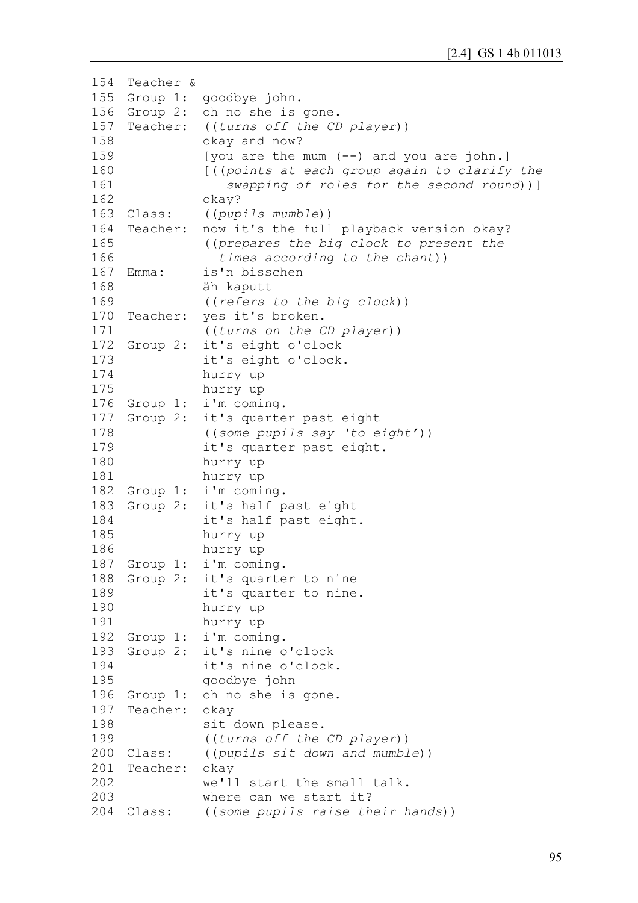```
154
Teacher &
155
Group 1: goodbye john.
156
Group 2: oh no she is gone.
157
Teacher: ((turns off the CD player))
158
159
160
161
162
163 Class:
164
Teacher: now it's the full playback version okay?
165
166
167 Emma:
168
169
170 Teacher:
171
172 Group 2:
173
174
175
176 Group 1:
177 Group 2:
178
179
180
181
182 Group 1:
183 Group 2:
184
185
186
187 Group 1:
188 Group 2:
189
190
191
192 Group 1:
193 Group 2:
194
195
196 Group 1:
197
Teacher: okay 
198
199
200 Class:
201
Teacher: okay
202
203
204 Class:
               okay and now?
               [you are the mum (--) and you are john.]
               [((points at each group again to clarify the
                   swapping of roles for the second round))]
               okay?
               Class: ((pupils mumble))
               ((prepares the big clock to present the 
                  times according to the chant))
               is'n bisschen
               äh kaputt
               ((refers to the big clock))
               ves it's broken.
               ((turns on the CD player))
               it's eight o'clock
               it's eight o'clock.
               hurry up 
               hurry up
               i'm coming.
              it's quarter past eight
               ((some pupils say 'to eight'))
               it's quarter past eight.
               hurry up 
               hurry up
               i'm coming.
               it's half past eight
               it's half past eight.
               hurry up 
               hurry up
               i'm coming.
               it's quarter to nine
               it's quarter to nine.
               hurry up 
               hurry up
               i'm coming.
               it's nine o'clock
               it's nine o'clock.
               goodbye john
               oh no she is gone.
               sit down please.
               ((turns off the CD player))
               Class: ((pupils sit down and mumble))
               we'll start the small talk.
               where can we start it?
             ((some pupils raise their hands))
```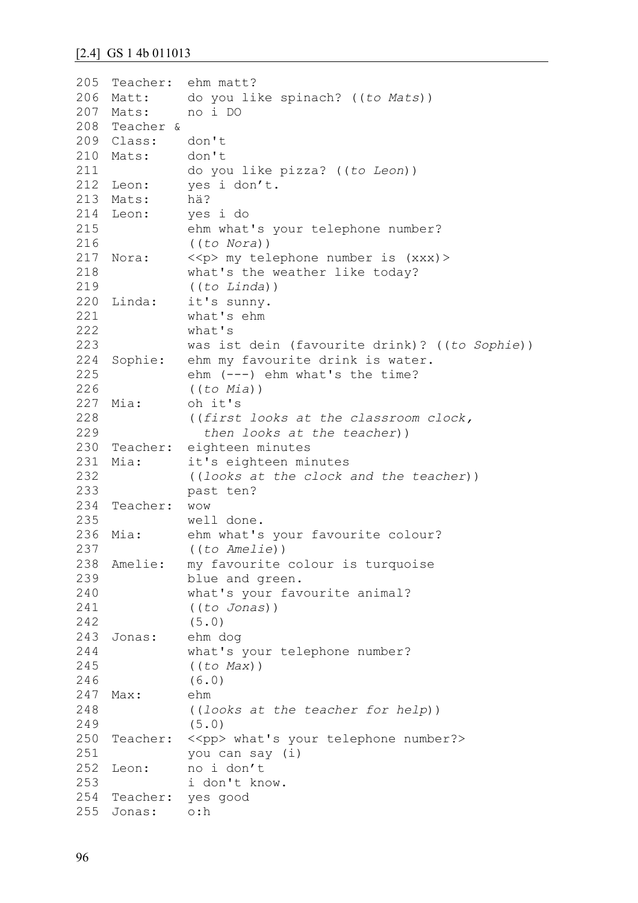#### [2.4] GS 1 4b 011013

```
205
Teacher: ehm matt?
206 Matt:
207 Mats:
208
Teacher & 
209
Class: don't
210
Mats: don't
211
212
Leon: yes i don't.
213
Mats: hä?
214 Leon:
215
216
217 Nora:
218
219
220 Linda:
221
222
223
224
Sophie: ehm my favourite drink is water.
225
226
227 Mia:
228
229
230
Teacher: eighteen minutes
231 Mia:
232
233
234
Teacher: wow
235
236 Mia:
237
238
Amelie: my favourite colour is turquoise
239
240
241
242
243
Jonas: ehm dog
244
245
246
247
Max: ehm
248
249
250 Teacher: << pp> what's your telephone number?>
251
252 Leon:
253
254
Teacher: yes good
255
Jonas: o:hdo you like spinach? ((to Mats))
              Mats: no i DO
             do you like pizza? ((to Leon))
             Leon: yes i do
              ehm what's your telephone number? 
              ((to Nora))
          <<p> my telephone number is (xxx)>
              what's the weather like today? 
              ((to Linda))
              it's sunny.
              what's ehm
              what's
              was ist dein (favourite drink)? ((to Sophie))
              ehm (---) ehm what's the time? 
              ((to Mia))
              oh it's
              ((first looks at the classroom clock, 
                 then looks at the teacher))
              it's eighteen minutes
              ((looks at the clock and the teacher))
              past ten?
              well done.
            ehm what's your favourite colour?
              ((to Amelie))
              blue and green.
              what's your favourite animal? 
              ((to Jonas))
              (5.0)
              what's your telephone number? 
              ((to Max))
              (6.0)
              ((looks at the teacher for help))
              (5.0)
              you can say (i)
             Leon: no i don't
              i don't know.
```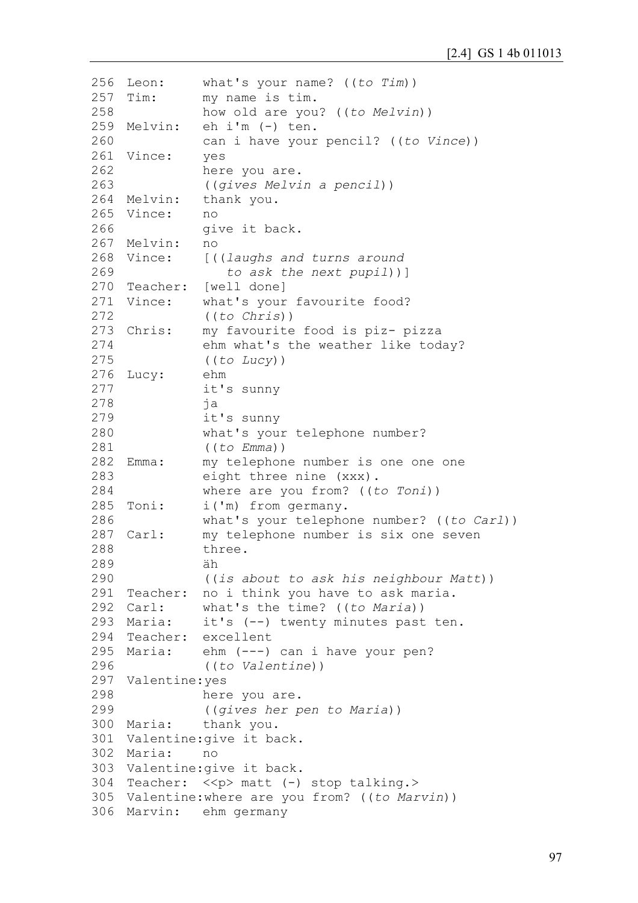```
256 Leon:
257 Tim:
258
259 Melvin:
260
261
Vince: yes
262
263
264 Melvin:
265
Vince: no 
266
267
Melvin: no
268 Vince:
269
270
Teacher: [well done]
271 Vince:
272
273 Chris:
274
275
276
Lucy: ehm
277
278
279
280
281
282 Emma:
283
284
285 Toni:
286
287 Carl:
288
289
290
291
Teacher: no i think you have to ask maria.
292 Carl:
293 Maria:
294
Teacher: excellent
295 Maria:
296
297
Valentine:yes
298
299
300 Maria:
301
Valentine:give it back.
302
Maria: no
303
Valentine:give it back.
304 Teacher: << p> matt (-) stop talking.>
305
Valentine:where are you from? ((to Marvin))
306
Marvin: ehm germanywhat's your name? ((to Tim))
              my name is tim.
              how old are you? ((to Melvin))
              eh i'm (-) ten.
              can i have your pencil? ((to Vince))
              here you are.
              ((gives Melvin a pencil))
              thank you.
              give it back.
              Vince: [((laughs and turns around
                  to ask the next pupil))]
              what's your favourite food?
              ((to Chris))
              my favourite food is piz- pizza
              ehm what's the weather like today?
              ((to Lucy))
              it's sunny
              ja
              it's sunny
              what's your telephone number? 
              ((to Emma))
              my telephone number is one one one
              eight three nine (xxx).
              where are you from? ((to Toni))
              i('m) from germany.
              what's your telephone number? ((to Carl))
              my telephone number is six one seven
              three.
              äh
              ((is about to ask his neighbour Matt))
              what's the time? ((to Maria))
              it's (--) twenty minutes past ten.
              ehm (---) can i have your pen?
              ((to Valentine))
              here you are.
              ((gives her pen to Maria))
              thank you.
```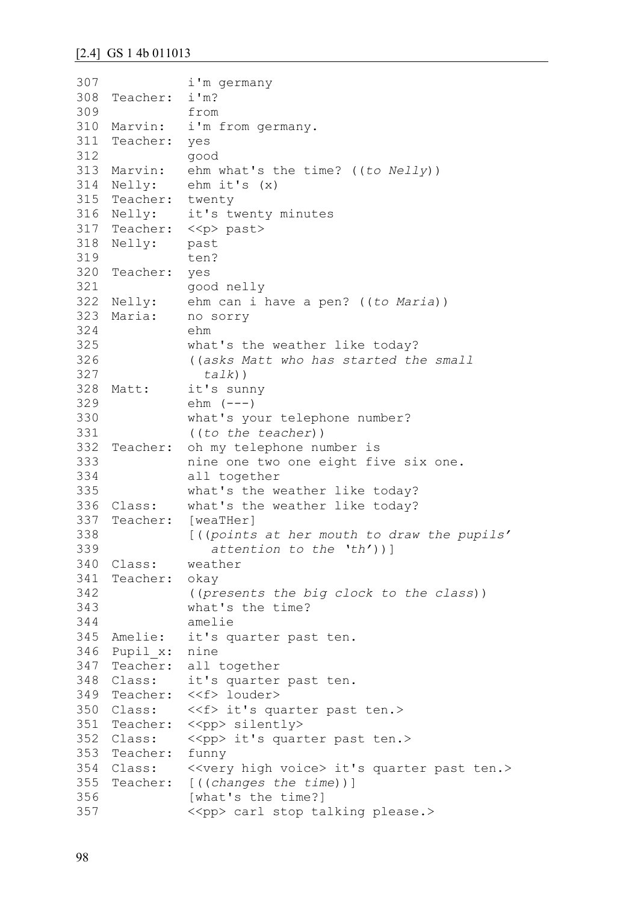```
307
308
Teacher: i'm?
309
310 Marvin:
311
Teacher: yes 
312
313
Marvin: ehm what's the time? ((to Nelly))
314 Nelly:
315
Teacher: twenty
316 Nelly:
317 Teacher: << p> past>
318
Nelly: past
319
320
Teacher: yes 
321
322 Nelly:
323 Maria:
324
325
326
327
328 Matt:
329
330
331
332
Teacher: oh my telephone number is 
333
334
335
336 Class:
337
Teacher: [weaTHer]
338
339
340 Class:
341
Teacher: okay
342
343
344
345 Amelie:
346
Pupil_x: nine
347
Teacher: all together
348 Class:
349
Teacher: <<f> louder>
350 Class:
351 Teacher: << pp> silently>
352 Class:
353
Teacher: funny
354 Class:
355
Teacher: [((changes the time))]
356
357
              i'm germany
              from
              i'm from germany.
              good
           ehm it's (x)
              it's twenty minutes
              ten?
              good nelly
              ehm can i have a pen? ((to Maria))
              no sorry
              ehm
              what's the weather like today?
              ((asks Matt who has started the small 
                 talk))
              it's sunny
              ehm (---)what's your telephone number?
              ((to the teacher))
              nine one two one eight five six one.
              all together
              what's the weather like today?
              what's the weather like today?
              [((points at her mouth to draw the pupils' 
                  attention to the 'th'))]
              weather
              ((presents the big clock to the class))
              what's the time?
              amelie
              it's quarter past ten.
              it's quarter past ten.
              <<f> it's quarter past ten.>
              << pp> it's quarter past ten.>
              Kvery high voice> it's quarter past ten.>
              [what's the time?]
              <<pp> carl stop talking please.>
```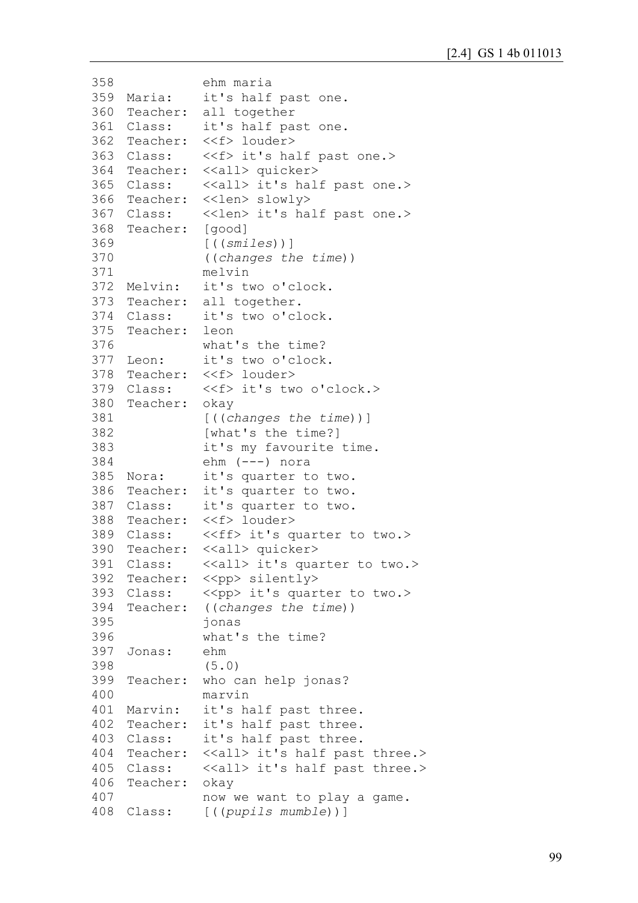```
358
359 Maria:
360
Teacher: all together
361 Class:
362 Teacher:
363 Class:
364
Teacher: <<all> quicker>
365 Class:
366
Teacher: <<len> slowly>
367 Class:
368
Teacher: [good]
369
370
371
372 Melvin:
373
Teacher: all together.
374 Class:
375
Teacher: leon
376
377 Leon:
378
Teacher: <<f> louder>
379 Class:
380
Teacher: okay
381
382
383
384
385 Nora:
386
Teacher: it's quarter to two.
387 Class:
388 Teacher:
389 Class:
390
Teacher: <<all> quicker>
391 Class:
392 Teacher: << pp> silently>
393 Class:
394 Teacher:
395
396
397
Jonas: ehm
398
399
Teacher: who can help jonas?
400
401 Marvin:
402
Teacher: it's half past three.
403 Class:
404 Teacher:
405 Class:
406
Teacher: okay
407
408
Class: [((pupils mumble))]ehm maria
              it's half past one.
              it's half past one.
              Teacher: <<f> louder>
              <<f> it's half past one.>
              <<all> it's half past one.>
              <<len> it's half past one.>
              [((smiles))]
              ((changes the time))
              melvin
              it's two o'clock.
              it's two o'clock.
              what's the time?
              it's two o'clock.
              <<f> it's two o'clock.>
              [((changes the time))]
              [what's the time?]
              it's my favourite time.
              ehm (---) nora
              it's quarter to two.
              it's quarter to two.
              <<f> louder>
              <<ff> it's quarter to two.>
              <<all> it's quarter to two.>
              \langle < \rangle it's quarter to two. >
              ((changes the time))
              jonas
              what's the time?
              (5.0)
              marvin
              it's half past three.
              it's half past three.
              \langle <<all> it's half past three.>
              <<all> it's half past three.>
              now we want to play a game.
```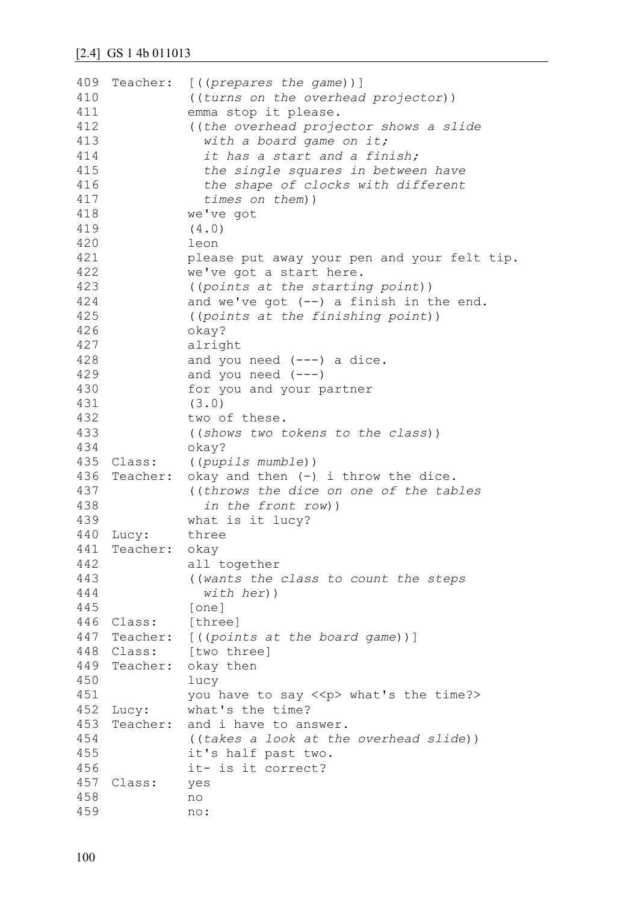| 409 |          | Teacher: [((prepares the game))]            |
|-----|----------|---------------------------------------------|
| 410 |          | ((turns on the overhead projector))         |
| 411 |          | emma stop it please.                        |
| 412 |          | ((the overhead projector shows a slide      |
| 413 |          | with a board game on it;                    |
| 414 |          | it has a start and a finish;                |
| 415 |          | the single squares in between have          |
| 416 |          |                                             |
|     |          | the shape of clocks with different          |
| 417 |          | times on them))                             |
| 418 |          | we've got                                   |
| 419 |          | (4.0)                                       |
| 420 |          | leon                                        |
| 421 |          | please put away your pen and your felt tip. |
| 422 |          | we've got a start here.                     |
| 423 |          | ((points at the starting point))            |
| 424 |          | and we've got $(--)$ a finish in the end.   |
| 425 |          | ((points at the finishing point))           |
| 426 |          | okay?                                       |
| 427 |          | alright                                     |
| 428 |          | and you need $(---)$ a dice.                |
| 429 |          | and you need $(---)$                        |
| 430 |          | for you and your partner                    |
| 431 |          | (3.0)                                       |
| 432 |          | two of these.                               |
| 433 |          | ((shows two tokens to the class))           |
| 434 |          | okay?                                       |
| 435 | Class:   | ((pupils mumble))                           |
| 436 | Teacher: | okay and then (-) i throw the dice.         |
| 437 |          | ((throws the dice on one of the tables      |
| 438 |          | in the front row))                          |
|     |          |                                             |
| 439 |          | what is it lucy?                            |
| 440 | Lucy:    | three                                       |
| 441 | Teacher: | okay                                        |
| 442 |          | all together                                |
| 443 |          | ((wants the class to count the steps        |
| 444 |          | $with her)$ )                               |
| 445 |          | [one]                                       |
| 446 | Class:   | [three]                                     |
| 447 |          | Teacher: [((points at the board game))]     |
| 448 |          | Class: [two three]                          |
| 449 | Teacher: | okay then                                   |
| 450 |          | lucy                                        |
| 451 |          | you have to say << p> what's the time?>     |
| 452 | Lucy:    | what's the time?                            |
| 453 | Teacher: | and i have to answer.                       |
| 454 |          | ((takes a look at the overhead slide))      |
| 455 |          | it's half past two.                         |
| 456 |          | it- is it correct?                          |
| 457 | Class:   | yes                                         |
| 458 |          | no                                          |
| 459 |          | no:                                         |
|     |          |                                             |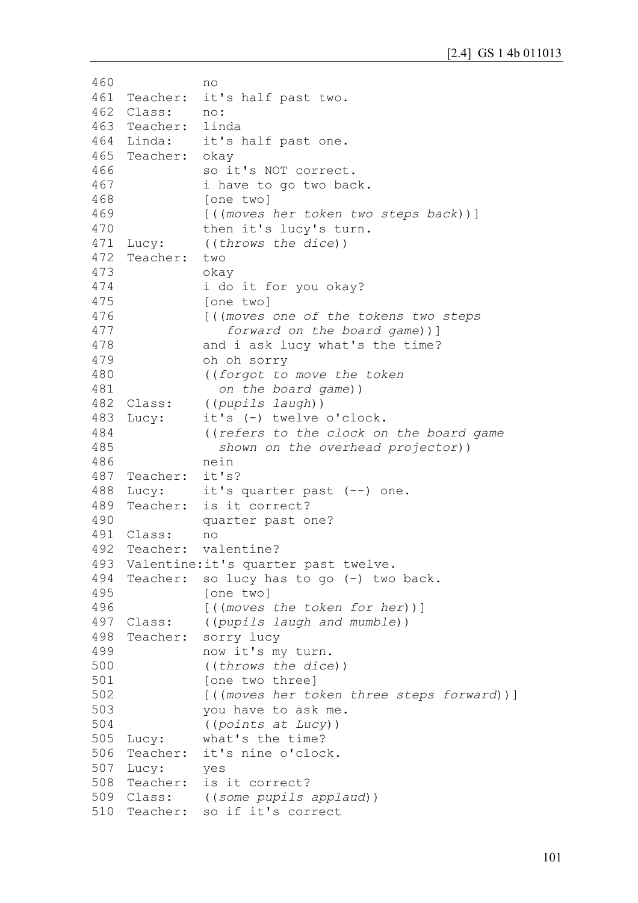```
460
461
462
463
464 Linda:
465
Teacher: okay
466
467
468
469
470
471
472
473
474
475
476
477
478
479
480
481
482 Class:
483 Lucy:
484
485
486
487
Teacher: it's?
488 Lucy:
489 Teacher:
490
491
Class: no
492 Teacher:
493
Valentine:it's quarter past twelve.
494
Teacher: so lucy has to go (-) two back.
495
496
497 Class:
498 Teacher:
499
500
501
502
503
504
505 Lucy:
506 Teacher:
507
Lucy: yes
508 Teacher:
509 Class:
510
Teacher: so if it's correct no
   Teacher: it's half past two.
    Class: no:
    Teacher: linda
               it's half past one.
               so it's NOT correct.
               i have to go two back.
               [one two]
               [((moves her token two steps back))]
               then it's lucy's turn.
    Lucy: ((throws the dice))
    Teacher: two
               okay
               i do it for you okay?
               [one two]
               [((moves one of the tokens two steps 
                   forward on the board game))]
               and i ask lucy what's the time?
               oh oh sorry
               ((forgot to move the token 
                  on the board game))
               Class: ((pupils laugh))
               it's (-) twelve o'clock.
               ((refers to the clock on the board game 
                  shown on the overhead projector))
               nein
              it's quarter past (--) one.
              is it correct?
               quarter past one?
              valentine?
               [one two]
               [((moves the token for her))]
               Class: ((pupils laugh and mumble))
               sorry lucy
               now it's my turn.
               ((throws the dice))
               [one two three]
               [((moves her token three steps forward))]
               you have to ask me.
               ((points at Lucy))
               what's the time?
              it's nine o'clock.
               is it correct?
               Class: ((some pupils applaud))
```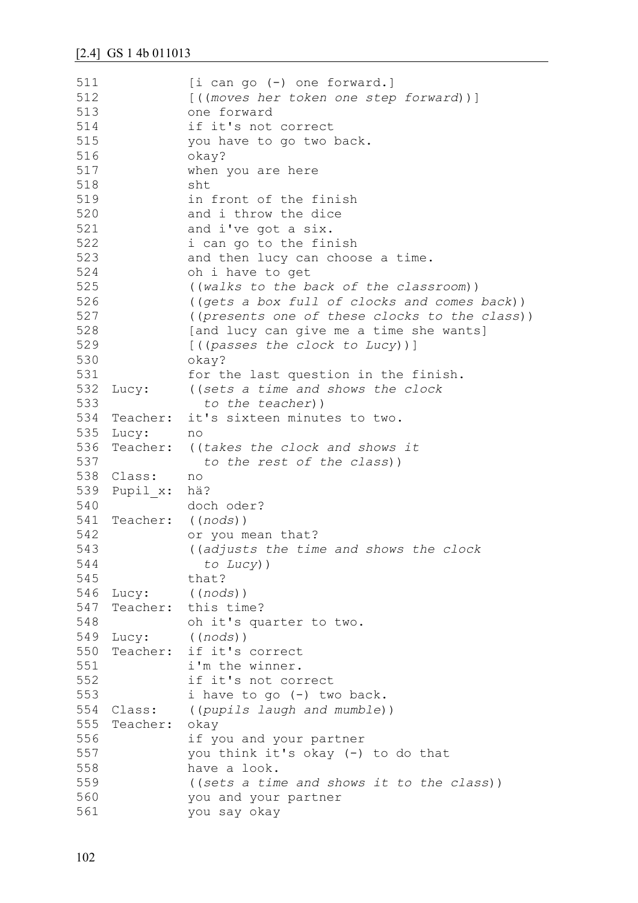| 511 |           | $[i \text{ can go } (-) \text{ one forward.}]$ |
|-----|-----------|------------------------------------------------|
| 512 |           | [((moves her token one step forward))]         |
| 513 |           | one forward                                    |
| 514 |           | if it's not correct                            |
| 515 |           | you have to go two back.                       |
| 516 |           | okay?                                          |
| 517 |           | when you are here                              |
| 518 |           | sht                                            |
| 519 |           | in front of the finish                         |
| 520 |           | and i throw the dice                           |
| 521 |           | and i've got a six.                            |
| 522 |           | i can go to the finish                         |
| 523 |           | and then lucy can choose a time.               |
| 524 |           | oh i have to get                               |
| 525 |           |                                                |
|     |           | ((walks to the back of the classroom))         |
| 526 |           | ((gets a box full of clocks and comes back))   |
| 527 |           | ((presents one of these clocks to the class))  |
| 528 |           | [and lucy can give me a time she wants]        |
| 529 |           | [((passes the clock to Lucy))]                 |
| 530 |           | okay?                                          |
| 531 |           | for the last question in the finish.           |
| 532 |           | Lucy: ((sets a time and shows the clock        |
| 533 |           | to the teacher))                               |
| 534 | Teacher:  | it's sixteen minutes to two.                   |
|     | 535 Lucy: | no                                             |
| 536 |           | Teacher: ((takes the clock and shows it        |
| 537 |           | to the rest of the class))                     |
| 538 | Class:    | no                                             |
| 539 | Pupil x:  | hä?                                            |
| 540 |           | doch oder?                                     |
| 541 | Teacher:  | ((nodes))                                      |
| 542 |           | or you mean that?                              |
| 543 |           | ((adjusts the time and shows the clock         |
| 544 |           | to $Lucy)$ )                                   |
| 545 |           | that?                                          |
| 546 | Lucy:     | ((nodes))                                      |
| 547 | Teacher:  | this time?                                     |
| 548 |           | oh it's quarter to two.                        |
| 549 | Lucy:     | ((nodes))                                      |
| 550 | Teacher:  | if it's correct                                |
| 551 |           | i'm the winner.                                |
| 552 |           | if it's not correct                            |
| 553 |           | i have to go (-) two back.                     |
| 554 | Class:    | ((pupils laugh and mumble))                    |
| 555 | Teacher:  | okay                                           |
| 556 |           | if you and your partner                        |
| 557 |           | you think it's okay (-) to do that             |
| 558 |           | have a look.                                   |
| 559 |           | ((sets a time and shows it to the class))      |
| 560 |           |                                                |
|     |           | you and your partner                           |
| 561 |           | you say okay                                   |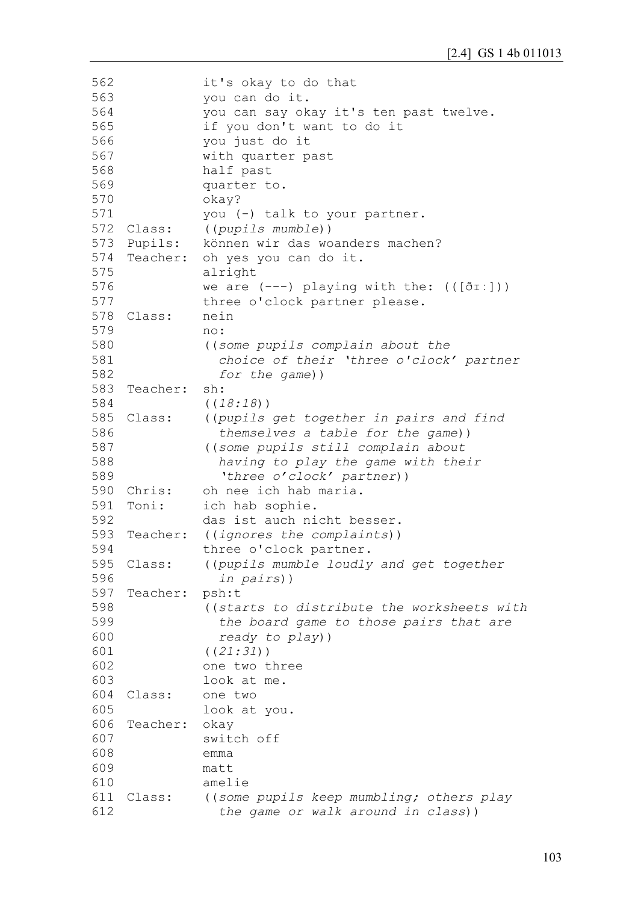| 562 |            | it's okay to do that                              |
|-----|------------|---------------------------------------------------|
| 563 |            | you can do it.                                    |
| 564 |            | you can say okay it's ten past twelve.            |
| 565 |            | if you don't want to do it                        |
| 566 |            | you just do it                                    |
| 567 |            | with quarter past                                 |
| 568 |            | half past                                         |
| 569 |            | quarter to.                                       |
| 570 |            | okay?                                             |
| 571 |            | you (-) talk to your partner.                     |
|     | 572 Class: | ((pupils mumble))                                 |
| 573 | Pupils:    | können wir das woanders machen?                   |
| 574 |            | Teacher: oh yes you can do it.                    |
| 575 |            | alright                                           |
| 576 |            |                                                   |
| 577 |            | we are $(---)$ playing with the: $((\delta I:]))$ |
|     |            | three o'clock partner please.                     |
| 578 | Class:     | nein                                              |
| 579 |            | no:                                               |
| 580 |            | ((some pupils complain about the                  |
| 581 |            | choice of their 'three o'clock' partner           |
| 582 |            | for the game))                                    |
| 583 | Teacher:   | sh:                                               |
| 584 |            | ((18:18))                                         |
| 585 | Class:     | ((pupils get together in pairs and find           |
| 586 |            | themselves a table for the game))                 |
| 587 |            | ((some pupils still complain about                |
| 588 |            | having to play the game with their                |
| 589 |            | 'three o'clock' partner))                         |
| 590 | Chris:     | oh nee ich hab maria.                             |
| 591 | Toni:      | ich hab sophie.                                   |
| 592 |            | das ist auch nicht besser.                        |
| 593 | Teacher:   | ((ignores the complaints))                        |
| 594 |            | three o'clock partner.                            |
| 595 | Class:     | ((pupils mumble loudly and get together           |
| 596 |            | in pairs))                                        |
| 597 | Teacher:   | psh:t                                             |
| 598 |            | ((starts to distribute the worksheets with        |
| 599 |            | the board game to those pairs that are            |
| 600 |            | ready to play))                                   |
| 601 |            | ((21:31))                                         |
| 602 |            | one two three                                     |
| 603 |            | look at me.                                       |
| 604 | Class:     | one two                                           |
| 605 |            | look at you.                                      |
| 606 | Teacher:   | okay                                              |
| 607 |            | switch off                                        |
| 608 |            | emma                                              |
| 609 |            | matt                                              |
| 610 |            | amelie                                            |
| 611 | Class:     | ((some pupils keep mumbling; others play          |
| 612 |            | the game or walk around in class))                |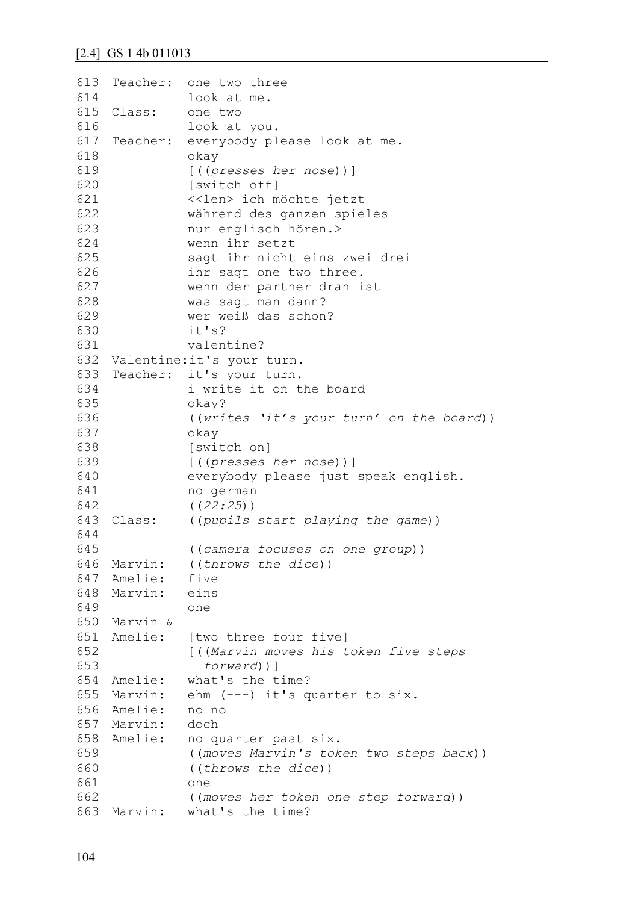```
613
Teacher: one two three 
614
615 Class:
616
617
Teacher: everybody please look at me.
618
619
620
621
622
623
624
625
626
627
628
629
630
631
632
Valentine:it's your turn.
633
Teacher: it's your turn.
634
635
636
637
638
639
640
641
642
643 Class:
644
645
646
Marvin: ((throws the dice))
647
Amelie: five
648
Marvin: eins
649
650
Marvin &
651
Amelie: [two three four five]
652
653
654
Amelie: what's the time?
655
Marvin: ehm (---) it's quarter to six.
656
Amelie: no no
657
Marvin: doch
658
Amelie: no quarter past six.
659
660
661
662
663
Marvin: what's the time?look at me.
             one two
              look at you.
              okay
              [((presses her nose))]
              [switch off]
              <<len> ich möchte jetzt
              während des ganzen spieles 
              nur englisch hören.>
              wenn ihr setzt 
              sagt ihr nicht eins zwei drei
              ihr sagt one two three.
              wenn der partner dran ist 
              was sagt man dann?
              wer weiß das schon?
              it's?
              valentine?
              i write it on the board
              okay?
              ((writes 'it's your turn' on the board))
              okay
              [switch on]
              [((presses her nose))]
              everybody please just speak english.
              no german
              ((22:25))
              Class: ((pupils start playing the game))
              ((camera focuses on one group))
              one
              [((Marvin moves his token five steps 
                 forward))]
              ((moves Marvin's token two steps back))
              ((throws the dice))
              one
              ((moves her token one step forward))
```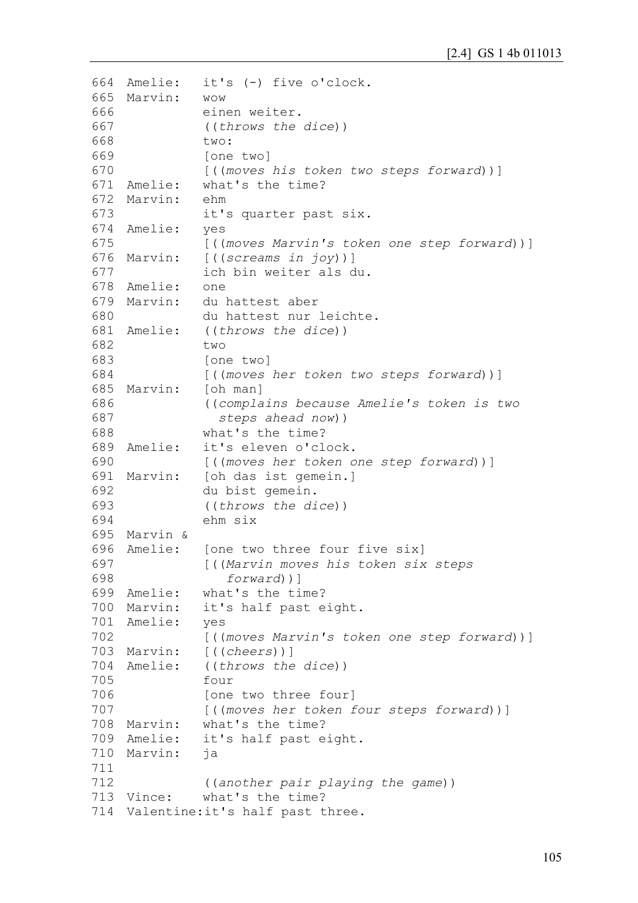```
664
665
Marvin: wow
666
667
668
669
670
671
Amelie: what's the time?
672
Marvin: ehm
673
674
Amelie: yes
675
676
Marvin: [((screams in joy))]
677
678
Amelie: one
679
Marvin: du hattest aber
680
681
Amelie: ((throws the dice))
682
683
684
685 Marvin:
686
687
688
689 Amelie:
690
691
Marvin: [oh das ist gemein.]
692
693
694
695
Marvin &
696
Amelie: [one two three four five six]
697
698
699
Amelie: what's the time?
700
Marvin: it's half past eight.
701
Amelie: yes
702
703
Marvin: [((cheers))]
704
Amelie: ((throws the dice))
705
706
707
708
Marvin: what's the time?
709
Amelie: it's half past eight.
710
Marvin: ja
711
712
713 Vince:
714
Valentine:it's half past three.it's (-) five o'clock.
              einen weiter.
              ((throws the dice))
              two:
              [one two]
              [((moves his token two steps forward))]
              it's quarter past six.
              [((moves Marvin's token one step forward))]
              ich bin weiter als du.
             du hattest nur leichte.
              two
              [one two]
              [((moves her token two steps forward))]
              [oh man]
              ((complains because Amelie's token is two 
                 steps ahead now))
              what's the time?
              it's eleven o'clock.
              [((moves her token one step forward))]
              du bist gemein.
              ((throws the dice))
              ehm six
              [((Marvin moves his token six steps 
                  forward))]
              [((moves Marvin's token one step forward))]
              four
              [one two three four]
              [((moves her token four steps forward))]
              ((another pair playing the game))
              what's the time?
```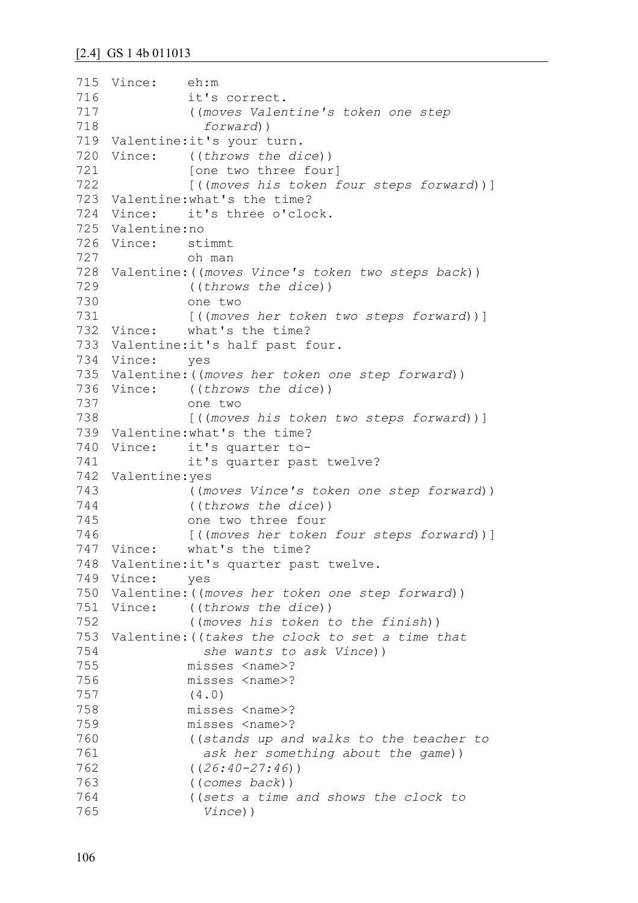```
715
Vince: eh:m
716
717
718
719
Valentine:it's your turn.
720 Vince:
721
722
723
Valentine:what's the time?
724
Vince: it's three o'clock.
725
Valentine:no
726
Vince: stimmt
727
728
Valentine:((moves Vince's token two steps back))
729
730
731
732 Vince:
733
Valentine:it's half past four.
734
Vince: yes
735
Valentine:((moves her token one step forward))
736
Vince: ((throws the dice))
737
738
739
Valentine:what's the time?
740 Vince:
741
742
Valentine:yes
743
744
745
746
747 Vince:
748
Valentine:it's quarter past twelve.
749
Vince: yes
750
Valentine:((moves her token one step forward))
751
Vince: ((throws the dice))
752
753
Valentine:((takes the clock to set a time that 
754
755
756
757
758
759
760
761
762
763
764
765
              it's correct.
               ((moves Valentine's token one step 
                 forward))
              ((throws the dice))
              [one two three four]
              [((moves his token four steps forward))]
              oh man
              ((throws the dice))
              one two
              [((moves her token two steps forward))]
            what's the time?
              one two
              [((moves his token two steps forward))]
              it's quarter to-
              it's quarter past twelve?
              ((moves Vince's token one step forward))
               ((throws the dice))
              one two three four
              [((moves her token four steps forward))]
              what's the time?
               ((moves his token to the finish))
                 she wants to ask Vince))
              misses <name>?
              misses <name>?
              (4.0)
              misses <name>?
              misses <name>?
              ((stands up and walks to the teacher to 
                 ask her something about the game))
              ((26:40-27:46))
              ((comes back))
               ((sets a time and shows the clock to 
                 Vince))
```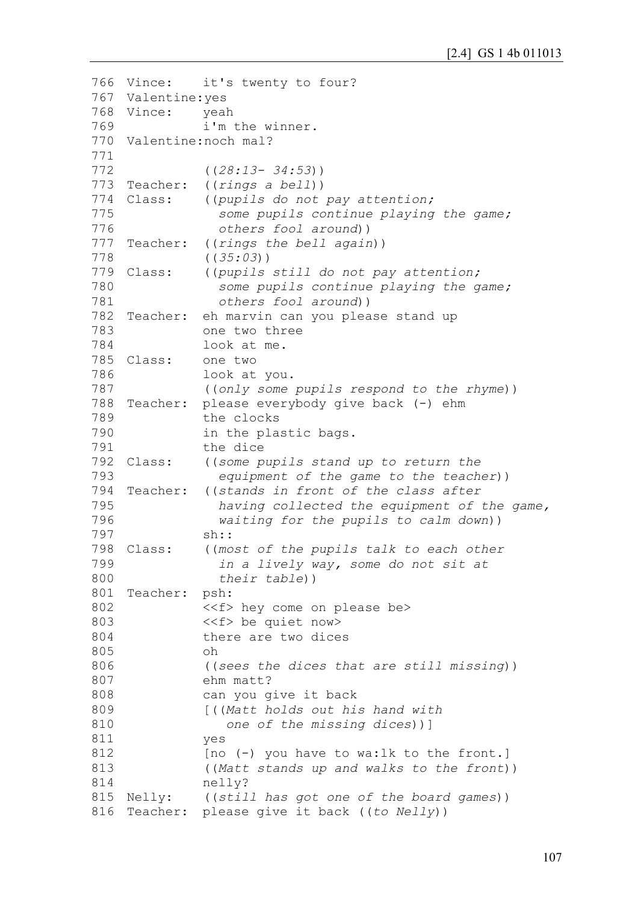```
766 Vince:
767
Valentine:yes
768
Vince: yeah
769
770
Valentine:noch mal?
771
772
773 Teacher:
774 Class:
775
776
777 Teacher:
778
779 Class:
780
781
782 Teacher:
783
784
785
Class: one two 
786
787
788 Teacher:
789
790
791
792 Class:
793
794 Teacher:
795
796
797
798 Class:
799
800
801
Teacher: psh:
802
803
804
805
806
807
808
809
810
811
812
813
814
815 Nelly:
816
Teacher: please give it back ((to Nelly))it's twenty to four?
               i'm the winner.
               ((28:13- 34:53))
               Teacher: ((rings a bell))
               Class: ((pupils do not pay attention; 
                  some pupils continue playing the game; 
                  others fool around))
               ((rings the bell again))
               ((35:03))
               Class: ((pupils still do not pay attention;
                  some pupils continue playing the game; 
                  others fool around))
               eh marvin can you please stand up
               one two three 
               look at me.
               look at you.
               ((only some pupils respond to the rhyme))
               please everybody give back (-) ehm
               the clocks
               in the plastic bags.
               the dice
               Class: ((some pupils stand up to return the 
                  equipment of the game to the teacher))
               Teacher: ((stands in front of the class after
                  having collected the equipment of the game,
                  waiting for the pupils to calm down))
               sh::
               ((most of the pupils talk to each other
                  in a lively way, some do not sit at
                  their table))
               <<f> hey come on please be>
               <<f> be quiet now>
               there are two dices
               oh
               ((sees the dices that are still missing))
               ehm matt? 
               can you give it back
               [((Matt holds out his hand with 
                   one of the missing dices))]
               yes
               [no (-) you have to wa:lk to the front.]
               ((Matt stands up and walks to the front))
               nelly?
               ((still has got one of the board games))
```